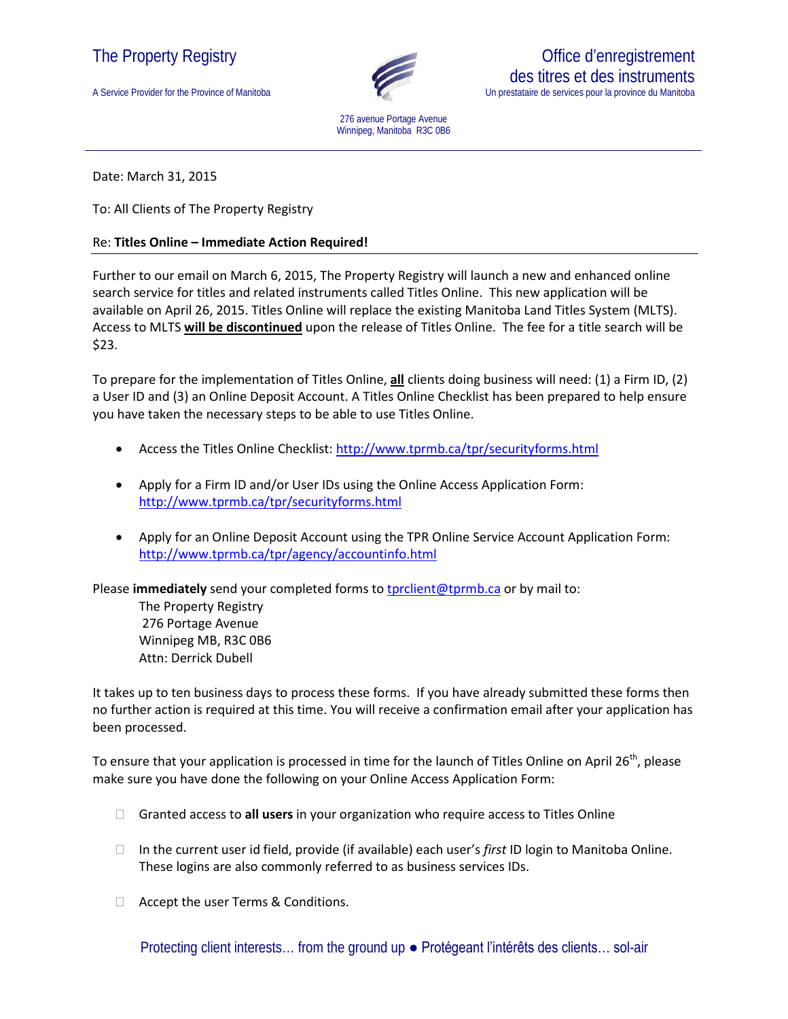## The Property Registry

A Service Provider for the Province of Manitoba



Office d'enregistrement

des titres et des instruments Un prestataire de services pour la province du Manitoba

276 avenue Portage Avenue Winnipeg, Manitoba R3C 0B6

Date: March 31, 2015

To: All Clients of The Property Registry

## Re: **Titles Online – Immediate Action Required!**

Further to our email on March 6, 2015, The Property Registry will launch a new and enhanced online search service for titles and related instruments called Titles Online. This new application will be available on April 26, 2015. Titles Online will replace the existing Manitoba Land Titles System (MLTS). Access to MLTS **will be discontinued** upon the release of Titles Online. The fee for a title search will be \$23.

To prepare for the implementation of Titles Online, **all** clients doing business will need: (1) a Firm ID, (2) a User ID and (3) an Online Deposit Account. A Titles Online Checklist has been prepared to help ensure you have taken the necessary steps to be able to use Titles Online.

- Access the Titles Online Checklist:<http://www.tprmb.ca/tpr/securityforms.html>
- Apply for a Firm ID and/or User IDs using the Online Access Application Form: <http://www.tprmb.ca/tpr/securityforms.html>
- Apply for an Online Deposit Account using the TPR Online Service Account Application Form: <http://www.tprmb.ca/tpr/agency/accountinfo.html>

Please *immediately* send your completed forms to **[tprclient@tprmb.ca](mailto:tprclient@tprmb.ca)** or by mail to:

The Property Registry 276 Portage Avenue Winnipeg MB, R3C 0B6 Attn: Derrick Dubell

It takes up to ten business days to process these forms. If you have already submitted these forms then no further action is required at this time. You will receive a confirmation email after your application has been processed.

To ensure that your application is processed in time for the launch of Titles Online on April 26<sup>th</sup>, please make sure you have done the following on your Online Access Application Form:

- Granted access to **all users** in your organization who require access to Titles Online
- In the current user id field, provide (if available) each user's *first* ID login to Manitoba Online. These logins are also commonly referred to as business services IDs.
- □ Accept the user Terms & Conditions.

Protecting client interests… from the ground up ● Protégeant l'intérêts des clients… sol-air